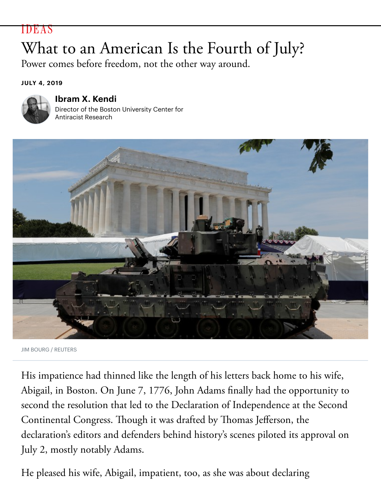## me before heedom, not the other way around.

## **JULY 4, 2019**



## **Ibram X. Kendi**

Director of the Boston University Center for Antiracist Research



JIM BOURG / REUTERS

His impatience had thinned like the length of his letters back home to his Abigail, in Boston. On June 7, 1776, John Adams finally had the opportuity second the resolution that led to the Declaration of Independence at the S Continental Congress. Though it was drafted by Thomas Jefferson, the declaration's editors and defenders behind history's scenes piloted its appro July 2, mostly notably Adams.

He pleased his wife, Abigail, impatient, too, as she was about declaring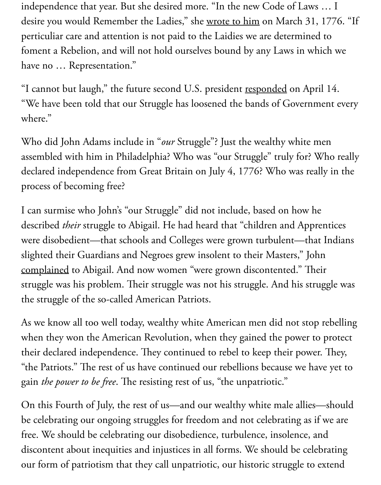have no … Representation."

"I cannot but laugh," the future second U.S. [president resp](https://herb.ashp.cuny.edu/items/show/672)onded on April "We have been told that our Struggle has loosened the bands of Governme where."

Who did John Adams include in "our Struggle"? Just the wealthy white me assembled with him in Philadelphia? Who was "our St[ruggle" trul](https://www.masshist.org/digitaladams/archive/doc?id=L17760414ja)y for? W declared independence from Great Britain on July 4, 1776? Who was reall process of becoming free?

I can surmise who John's "our Struggle" did not include, based on how he described *their* struggle to Abigail. He had heard that "children and Apprentic were disobedient—that schools and Colleges were grown turbulent—that slighted their Guardians and Negroes grew insolent to their Masters," John complained to Abigail. And now women "were grown discontented." Thei struggle was his problem. Their struggle was not his struggle. And his strug the struggle of the so-called American Patriots.

As we know all too well today, wealthy white American men did not stop i [when they w](https://www.masshist.org/digitaladams/archive/doc?id=L17760414ja)on the American Revolution, when they gained the power to their declared independence. They continued to rebel to keep their power. "the Patriots." The rest of us have continued our rebellions because we have gain *the power to be free*. The resisting rest of us, "the unpatriotic."

On this Fourth of July, the rest of us—and our wealthy white male allies be celebrating our ongoing struggles for freedom and not celebrating as if free. We should be celebrating our disobedience, turbulence, insolence, an discontent about inequities and injustices in all forms. We should be celeb our form of patriotism that they call unpatriotic, our historic struggle to extend to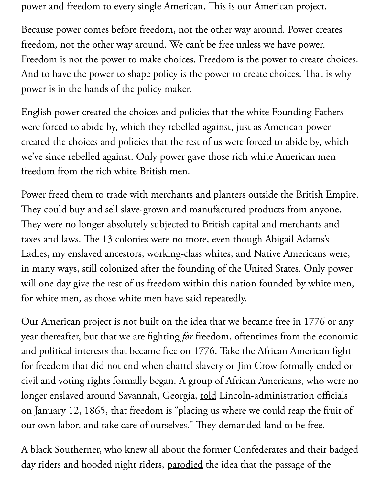And to have the power to shape policy is the power to create choices. That power is in the hands of the policy maker.

English power created the choices and policies that the white Founding Fa were forced to abide by, which they rebelled against, just as American pow created the choices and policies that the rest of us were forced to abide by, we've since rebelled against. Only power gave those rich white American m freedom from the rich white British men.

Power freed them to trade with merchants and planters outside the British They could buy and sell slave-grown and manufactured products from any They were no longer absolutely subjected to British capital and merchants taxes and laws. The 13 colonies were no more, even though Abigail Adams Ladies, my enslaved ancestors, working-class whites, and Native Americans in many ways, still colonized after the founding of the United States. Only will one day give the rest of us freedom within this nation founded by whi for white men, as those white men have said repeatedly.

Our American project is not built on the idea that we became free in 1776 year thereafter, but that we are fighting *for* freedom, oftentimes from the equation and political interests that became free on 1776. Take the African America for freedom that did not end when chattel slavery or Jim Crow formally en civil and voting rights formally began. A group of African Americans, who longer enslaved around Savannah, Georgia, told Lincoln-administration of on January 12, 1865, that freedom is "placing us where we could reap the our own labor, and take care of ourselves." They demanded land to be free.

A black Southerner, who knew all about the former Confederates and thei day riders and hooded night riders, parodie[d the](https://www.facinghistory.org/reconstruction-era/savannah-freedpeople-express-their-aspirations-freedom) idea that the passage of the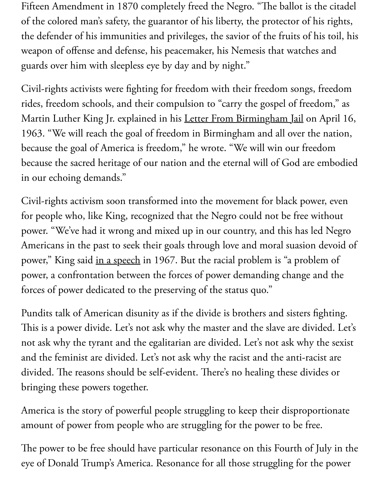guards over mint with sicepless cyc by day and by inglit.

Civil-rights activists were fighting for freedom with their freedom songs, fre rides, freedom schools, and their compulsion to "carry the gospel of freedom, Martin Luther King Jr. explained in his Letter From Birmingham Jail on A 1963. "We will reach the goal of freedom in Birmingham and all over the because the goal of America is freedom," he wrote. "We will win our freed because the sacred heritage of our nation and the eternal will of God are en in our echoing demands."

Civil-rights activism soon transformed into the movement for black power for people who, like King, recognized that the Negro could not be free with power. "We've had it wrong and mixed up in our country, and this has led Americans in the past to seek their goals through love and moral suasion d power," King said in a speech in 1967. But the racial problem is "a probler power, a confrontation between the forces of power demanding change and forces of power dedicated to the preserving of the status quo."

Pundits talk of American disunity as if the divide is brothers and sisters fig This is a power di[vide. Let's n](https://kinginstitute.stanford.edu/king-papers/documents/where-do-we-go-here-address-delivered-eleventh-annual-sclc-convention)ot ask why the master and the slave are divide not ask why the tyrant and the egalitarian are divided. Let's not ask why the and the feminist are divided. Let's not ask why the racist and the anti-racis divided. The reasons should be self-evident. There's no healing these divide bringing these powers together.

America is the story of powerful people struggling to keep their disproport amount of power from people who are struggling for the power to be free.

The power to be free should have particular resonance on this Fourth of Ju eye of Donald Trump's America. Resonance for all those struggling for the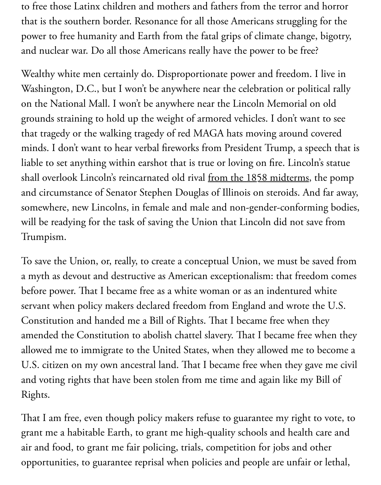Wealthy white men certainly do. Disproportionate power and freedom. I l Washington, D.C., but I won't be anywhere near the celebration or politic on the National Mall. I won't be anywhere near the Lincoln Memorial on grounds straining to hold up the weight of armored vehicles. I don't want that tragedy or the walking tragedy of red MAGA hats moving around cov minds. I don't want to hear verbal fireworks from President Trump, a speed liable to set anything within earshot that is true or loving on fire. Lincoln's shall overlook Lincoln's reincarnated old rival from the 1858 midterms, th and circumstance of Senator Stephen Douglas of Illinois on steroids. And somewhere, new Lincolns, in female and male and non-gender-conformin will be readying for the task of saving the Union that Lincoln did not save Trumpism.

To save the Union, or, really, to create a conceptual Union, we must be save a myth as devout and destructive as American exceptionalism: that freedor before power. That I became free as a white woman or as an indentured wh servant when policy makers declared freedom from England and wrote the Constitution and handed me a Bill of Rights. That I became free when the amended the Constitution to abolish chattel slavery. That I became free wl allowed me to immigrate to the United States, when they allowed me to be U.S. citizen on my own ancestral land. That I became free when they gave and voting rights that have been stolen from me time and again like my Bi Rights.

That I am free, even though policy makers refuse to guarantee my right to grant me a habitable Earth, to grant me high-quality schools and health ca air and food, to grant me fair policing, trials, competition for jobs and oth opportunities, to guarantee reprisal when policies and people are unfair or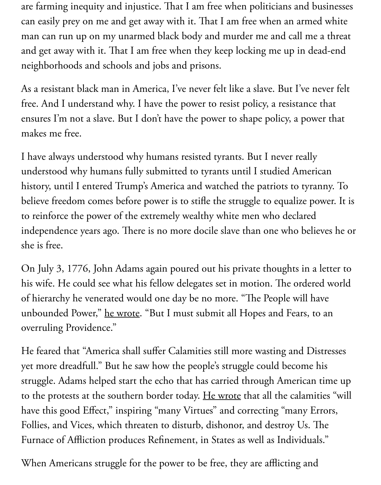neighborhoods and schools and jobs and prisons.

As a resistant black man in America, I've never felt like a slave. But I've nev free. And I understand why. I have the power to resist policy, a resistance that ensures I'm not a slave. But I don't have the power to shape policy, a power makes me free.

I have always understood why humans resisted tyrants. But I never really understood why humans fully submitted to tyrants until I studied America history, until I entered Trump's America and watched the patriots to tyran. believe freedom comes before power is to stifle the struggle to equalize pov to reinforce the power of the extremely wealthy white men who declared independence years ago. There is no more docile slave than one who believe she is free.

On July 3, 1776, John Adams again poured out his private thoughts in a letter his wife. He could see what his fellow delegates set in motion. The ordered of hierarchy he venerated would one day be no more. "The People will have unbounded Power," he wrote. "But I must submit all Hopes and Fears, to overruling Providence."

He feared that "America shall suffer Calamities still more wasting and Dist yet more dreadfull." But he saw how the people's struggle could become hi struggle. Adams hel[ped start t](https://www.masshist.org/digitaladams/archive/doc?id=L17760703ja)he echo that has carried through American ti to the protests at the southern border today. He wrote that all the calamities have this good Effect," inspiring "many Virtues" and correcting "many Err Follies, and Vices, which threaten to disturb, dishonor, and destroy Us. Th Furnace of Affliction produces Refnement, in States as well as Individuals."

When Americans struggle for the power to [be free, the](https://www.masshist.org/digitaladams/archive/doc?id=L17760703ja)y are afflicting and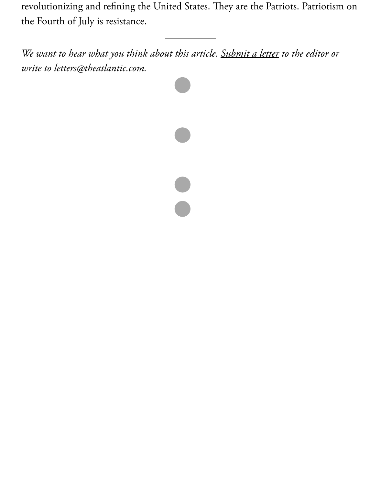*write to letters@theatlantic.com.*